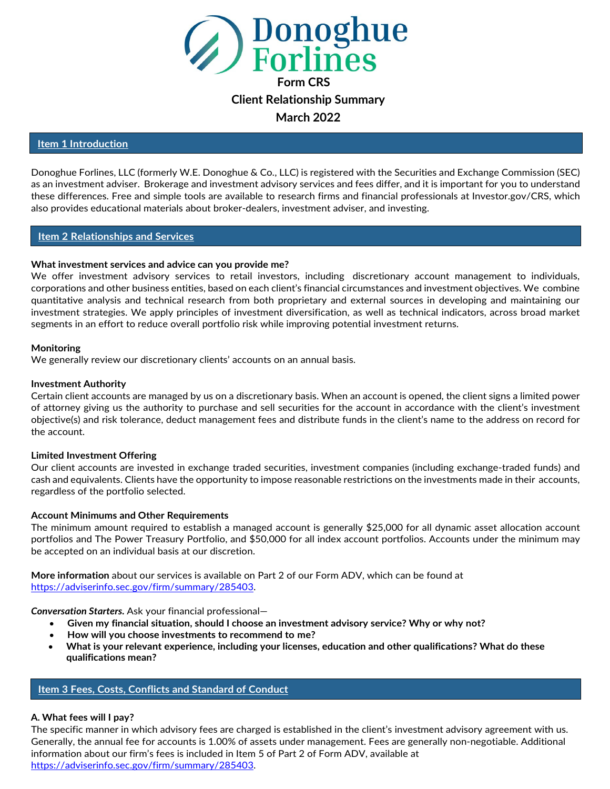

**March 2022**

#### **Item 1 Introduction**

Donoghue Forlines, LLC (formerly W.E. Donoghue & Co., LLC) is registered with the Securities and Exchange Commission (SEC) as an investment adviser. Brokerage and investment advisory services and fees differ, and it is important for you to understand these differences. Free and simple tools are available to research firms and financial professionals at Investor.gov/CRS, which also provides educational materials about broker-dealers, investment adviser, and investing.

#### **Item 2 Relationships and Services**

#### **What investment services and advice can you provide me?**

We offer investment advisory services to retail investors, including discretionary account management to individuals, corporations and other business entities, based on each client's financial circumstances and investment objectives. We combine quantitative analysis and technical research from both proprietary and external sources in developing and maintaining our investment strategies. We apply principles of investment diversification, as well as technical indicators, across broad market segments in an effort to reduce overall portfolio risk while improving potential investment returns.

#### **Monitoring**

We generally review our discretionary clients' accounts on an annual basis.

#### **Investment Authority**

Certain client accounts are managed by us on a discretionary basis. When an account is opened, the client signs a limited power of attorney giving us the authority to purchase and sell securities for the account in accordance with the client's investment objective(s) and risk tolerance, deduct management fees and distribute funds in the client's name to the address on record for the account.

#### **Limited Investment Offering**

Our client accounts are invested in exchange traded securities, investment companies (including exchange-traded funds) and cash and equivalents. Clients have the opportunity to impose reasonable restrictions on the investments made in their accounts, regardless of the portfolio selected.

#### **Account Minimums and Other Requirements**

The minimum amount required to establish a managed account is generally \$25,000 for all dynamic asset allocation account portfolios and The Power Treasury Portfolio, and \$50,000 for all index account portfolios. Accounts under the minimum may be accepted on an individual basis at our discretion.

**More information** about our services is available on Part 2 of our Form ADV, which can be found at https://adviserinfo.sec.gov/firm/summary/285403.

*Conversation Starters.* Ask your financial professional—

- **Given my financial situation, should I choose an investment advisory service? Why or why not?**
- **How will you choose investments to recommend to me?**
- **What is your relevant experience, including your licenses, education and other qualifications? What do these qualifications mean?**

#### **Item 3 Fees, Costs, Conflicts and Standard of Conduct**

#### **A. What fees will I pay?**

The specific manner in which advisory fees are charged is established in the client's investment advisory agreement with us. Generally, the annual fee for accounts is 1.00% of assets under management. Fees are generally non-negotiable. Additional information about our firm's fees is included in Item 5 of Part 2 of Form ADV, available at https://adviserinfo.sec.gov/firm/summary/285403.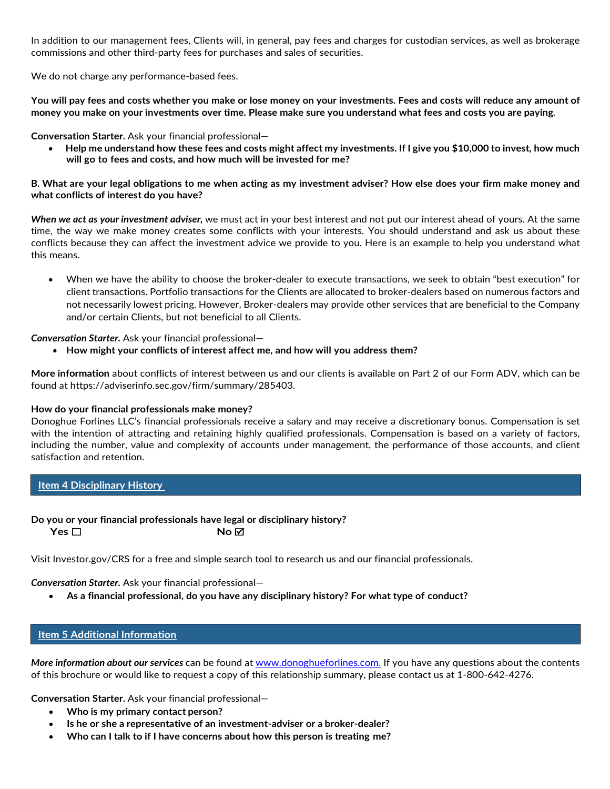In addition to our management fees, Clients will, in general, pay fees and charges for custodian services, as well as brokerage commissions and other third-party fees for purchases and sales of securities.

We do not charge any performance-based fees.

**You will pay fees and costs whether you make or lose money on your investments. Fees and costs will reduce any amount of money you make on your investments over time. Please make sure you understand what fees and costs you are paying**.

**Conversation Starter.** Ask your financial professional—

• **Help me understand how these fees and costs might affect my investments. If I give you \$10,000 to invest, how much will go to fees and costs, and how much will be invested for me?**

**B. What are your legal obligations to me when acting as my investment adviser? How else does your firm make money and what conflicts of interest do you have?**

*When we act as your investment adviser,* we must act in your best interest and not put our interest ahead of yours. At the same time, the way we make money creates some conflicts with your interests. You should understand and ask us about these conflicts because they can affect the investment advice we provide to you. Here is an example to help you understand what this means.

• When we have the ability to choose the broker-dealer to execute transactions, we seek to obtain "best execution" for client transactions. Portfolio transactions for the Clients are allocated to broker-dealers based on numerous factors and not necessarily lowest pricing. However, Broker-dealers may provide other services that are beneficial to the Company and/or certain Clients, but not beneficial to all Clients.

*Conversation Starter.* Ask your financial professional—

• **How might your conflicts of interest affect me, and how will you address them?**

**More information** about conflicts of interest between us and our clients is available on Part 2 of our Form ADV, which can be found at https://adviserinfo.sec.gov/firm/summary/285403.

#### **How do your financial professionals make money?**

Donoghue Forlines LLC's financial professionals receive a salary and may receive a discretionary bonus. Compensation is set with the intention of attracting and retaining highly qualified professionals. Compensation is based on a variety of factors, including the number, value and complexity of accounts under management, the performance of those accounts, and client satisfaction and retention.

# **Item 4 Disciplinary History**

# **Do you or your financial professionals have legal or disciplinary history?**

**Yes** ☐ **No**

Visit Investor.gov/CRS for a free and simple search tool to research us and our financial professionals.

*Conversation Starter.* Ask your financial professional—

• **As a financial professional, do you have any disciplinary history? For what type of conduct?**

# **Item 5 Additional Information**

*More information about our services* can be found a[t www.donoghueforlines.com.](http://www.donoghueforlines.com./) If you have any questions about the contents of this brochure or would like to request a copy of this relationship summary, please contact us at 1-800-642-4276.

**Conversation Starter.** Ask your financial professional—

- **Who is my primary contact person?**
- **Is he or she a representative of an investment-adviser or a broker-dealer?**
- **Who can I talk to if I have concerns about how this person is treating me?**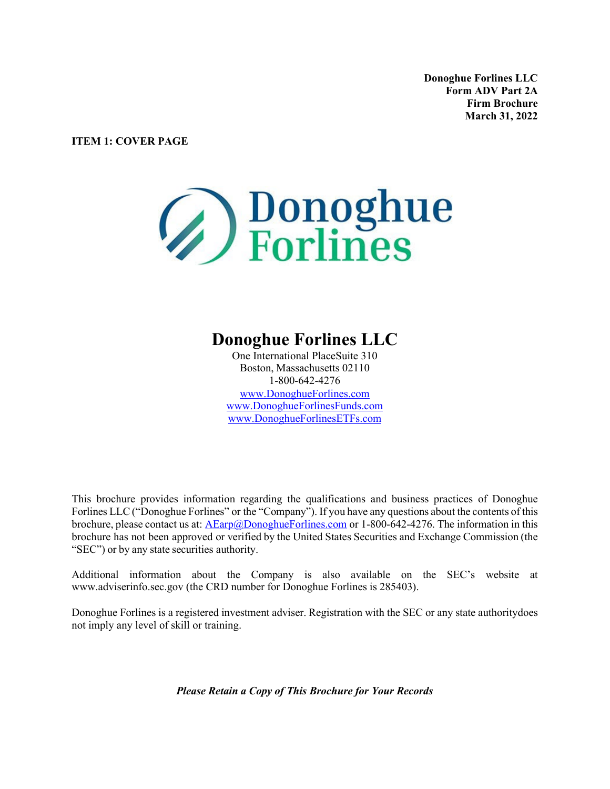**Donoghue Forlines LLC Form ADV Part 2A Firm Brochure March 31, 2022**

**ITEM 1: COVER PAGE**

# **Bonoghue**<br>Forlines

# **Donoghue Forlines LLC**

One International Place Suite 310 Boston, Massachusetts 02110 1-800-642-4276 [www.DonoghueForlines.com](http://www.donoghueforlines.com/) [www.DonoghueForlinesFunds.com](http://www.donoghueforlinesfunds.com/) www.DonoghueForlinesETFs.com

This brochure provides information regarding the qualifications and business practices of Donoghue Forlines LLC ("Donoghue Forlines" or the "Company"). If you have any questions about the contents of this brochure, please contact us at:  $\overline{\text{AExp}(a)}$ DonoghueForlines.com or 1-800-642-4276. The information in this brochure has not been approved or verified by the United States Securities and Exchange Commission (the "SEC") or by any state securities authority.

Additional information about the Company is also available on the SEC's website at [www.adviserinfo.sec.gov \(](http://www.adviserinfo.sec.gov/)the CRD number for Donoghue Forlines is 285403).

Donoghue Forlines is a registered investment adviser. Registration with the SEC or any state authority does not imply any level of skill or training.

*Please Retain a Copy of This Brochure for Your Records*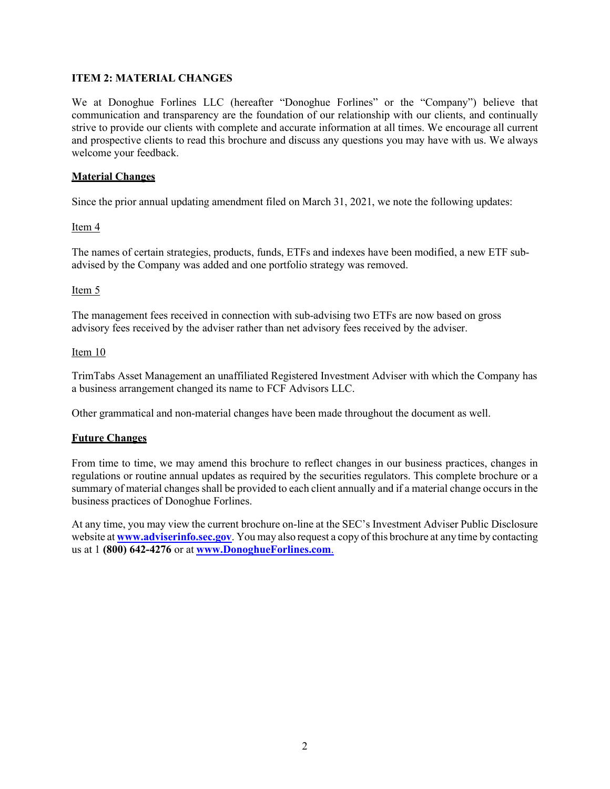# **ITEM 2: MATERIAL CHANGES**

We at Donoghue Forlines LLC (hereafter "Donoghue Forlines" or the "Company") believe that communication and transparency are the foundation of our relationship with our clients, and continually strive to provide our clients with complete and accurate information at all times. We encourage all current and prospective clients to read this brochure and discuss any questions you may have with us. We always welcome your feedback.

# **Material Changes**

Since the prior annual updating amendment filed on March 31, 2021, we note the following updates:

# Item 4

The names of certain strategies, products, funds, ETFs and indexes have been modified, a new ETF subadvised by the Company was added and one portfolio strategy was removed.

# Item 5

The management fees received in connection with sub-advising two ETFs are now based on gross advisory fees received by the adviser rather than net advisory fees received by the adviser.

#### Item 10

TrimTabs Asset Management an unaffiliated Registered Investment Adviser with which the Company has a business arrangement changed its name to FCF Advisors LLC.

Other grammatical and non-material changes have been made throughout the document as well.

# **Future Changes**

From time to time, we may amend this brochure to reflect changes in our business practices, changes in regulations or routine annual updates as required by the securities regulators. This complete brochure or a summary of material changes shall be provided to each client annually and if a material change occurs in the business practices of Donoghue Forlines.

At any time, you may view the current brochure on-line at the SEC's Investment Adviser Public Disclosure website at **[www.adviserinfo.sec.gov](http://www.adviserinfo.sec.gov/)**. You may also request a copy of this brochure at any time by contacting us at 1 **(800) 642-4276** or at **[www.DonoghueForlines.com](http://www.donoghueforlines.com/)**.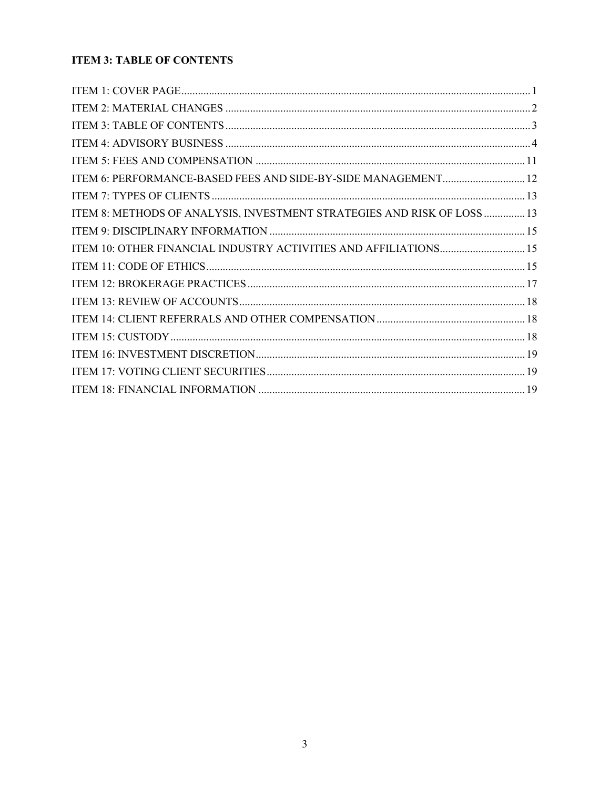# **ITEM 3: TABLE OF CONTENTS**

| ITEM 6: PERFORMANCE-BASED FEES AND SIDE-BY-SIDE MANAGEMENT 12           |  |
|-------------------------------------------------------------------------|--|
|                                                                         |  |
| ITEM 8: METHODS OF ANALYSIS, INVESTMENT STRATEGIES AND RISK OF LOSS  13 |  |
|                                                                         |  |
|                                                                         |  |
|                                                                         |  |
|                                                                         |  |
|                                                                         |  |
|                                                                         |  |
|                                                                         |  |
|                                                                         |  |
|                                                                         |  |
|                                                                         |  |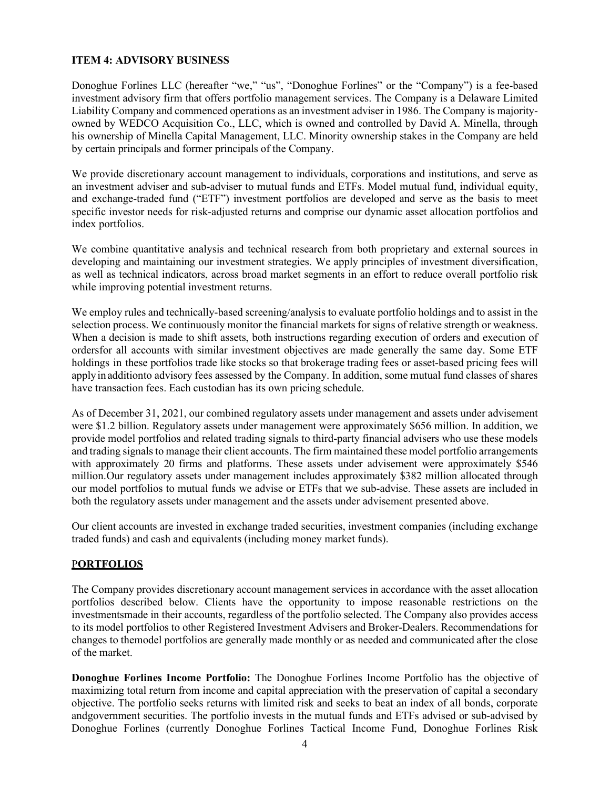# **ITEM 4: ADVISORY BUSINESS**

Donoghue Forlines LLC (hereafter "we," "us", "Donoghue Forlines" or the "Company") is a fee-based investment advisory firm that offers portfolio management services. The Company is a Delaware Limited Liability Company and commenced operations as an investment adviser in 1986. The Company is majorityowned by WEDCO Acquisition Co., LLC, which is owned and controlled by David A. Minella, through his ownership of Minella Capital Management, LLC. Minority ownership stakes in the Company are held by certain principals and former principals of the Company.

We provide discretionary account management to individuals, corporations and institutions, and serve as an investment adviser and sub-adviser to mutual funds and ETFs. Model mutual fund, individual equity, and exchange-traded fund ("ETF") investment portfolios are developed and serve as the basis to meet specific investor needs for risk-adjusted returns and comprise our dynamic asset allocation portfolios and index portfolios.

We combine quantitative analysis and technical research from both proprietary and external sources in developing and maintaining our investment strategies. We apply principles of investment diversification, as well as technical indicators, across broad market segments in an effort to reduce overall portfolio risk while improving potential investment returns.

We employ rules and technically-based screening/analysis to evaluate portfolio holdings and to assist in the selection process. We continuously monitor the financial markets for signs of relative strength or weakness. When a decision is made to shift assets, both instructions regarding execution of orders and execution of orders for all accounts with similar investment objectives are made generally the same day. Some ETF holdings in these portfolios trade like stocks so that brokerage trading fees or asset-based pricing fees will apply in addition to advisory fees assessed by the Company. In addition, some mutual fund classes of shares have transaction fees. Each custodian has its own pricing schedule.

As of December 31, 2021, our combined regulatory assets under management and assets under advisement were \$1.2 billion. Regulatory assets under management were approximately \$656 million. In addition, we provide model portfolios and related trading signals to third-party financial advisers who use these models and trading signals to manage their client accounts. The firm maintained these model portfolio arrangements with approximately 20 firms and platforms. These assets under advisement were approximately \$546 million. Our regulatory assets under management includes approximately \$382 million allocated through our model portfolios to mutual funds we advise or ETFs that we sub-advise. These assets are included in both the regulatory assets under management and the assets under advisement presented above.

Our client accounts are invested in exchange traded securities, investment companies (including exchange traded funds) and cash and equivalents (including money market funds).

# P**ORTFOLIOS**

The Company provides discretionary account management services in accordance with the asset allocation portfolios described below. Clients have the opportunity to impose reasonable restrictions on the investmentsmade in their accounts, regardless of the portfolio selected. The Company also provides access to its model portfolios to other Registered Investment Advisers and Broker-Dealers. Recommendations for changes to the model portfolios are generally made monthly or as needed and communicated after the close of the market.

**Donoghue Forlines Income Portfolio:** The Donoghue Forlines Income Portfolio has the objective of maximizing total return from income and capital appreciation with the preservation of capital a secondary objective. The portfolio seeks returns with limited risk and seeks to beat an index of all bonds, corporate and government securities. The portfolio invests in the mutual funds and ETFs advised or sub-advised by Donoghue Forlines (currently Donoghue Forlines Tactical Income Fund, Donoghue Forlines Risk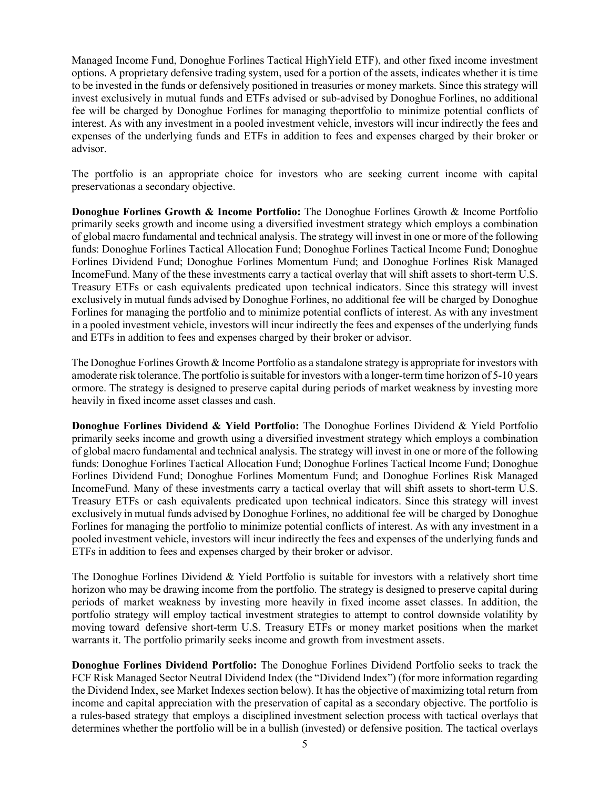Managed Income Fund, Donoghue Forlines Tactical HighYield ETF), and other fixed income investment options. A proprietary defensive trading system, used for a portion of the assets, indicates whether it is time to be invested in the funds or defensively positioned in treasuries or money markets. Since this strategy will invest exclusively in mutual funds and ETFs advised or sub-advised by Donoghue Forlines, no additional fee will be charged by Donoghue Forlines for managing theportfolio to minimize potential conflicts of interest. As with any investment in a pooled investment vehicle, investors will incur indirectly the fees and expenses of the underlying funds and ETFs in addition to fees and expenses charged by their broker or advisor.

The portfolio is an appropriate choice for investors who are seeking current income with capital preservationas a secondary objective.

**Donoghue Forlines Growth & Income Portfolio:** The Donoghue Forlines Growth & Income Portfolio primarily seeks growth and income using a diversified investment strategy which employs a combination of global macro fundamental and technical analysis. The strategy will invest in one or more of the following funds: Donoghue Forlines Tactical Allocation Fund; Donoghue Forlines Tactical Income Fund; Donoghue Forlines Dividend Fund; Donoghue Forlines Momentum Fund; and Donoghue Forlines Risk Managed IncomeFund. Many of the these investments carry a tactical overlay that will shift assets to short-term U.S. Treasury ETFs or cash equivalents predicated upon technical indicators. Since this strategy will invest exclusively in mutual funds advised by Donoghue Forlines, no additional fee will be charged by Donoghue Forlines for managing the portfolio and to minimize potential conflicts of interest. As with any investment in a pooled investment vehicle, investors will incur indirectly the fees and expenses of the underlying funds and ETFs in addition to fees and expenses charged by their broker or advisor.

The Donoghue Forlines Growth & Income Portfolio as a standalone strategy is appropriate for investors with amoderate risk tolerance. The portfolio issuitable for investors with a longer-term time horizon of 5-10 years ormore. The strategy is designed to preserve capital during periods of market weakness by investing more heavily in fixed income asset classes and cash.

**Donoghue Forlines Dividend & Yield Portfolio:** The Donoghue Forlines Dividend & Yield Portfolio primarily seeks income and growth using a diversified investment strategy which employs a combination of global macro fundamental and technical analysis. The strategy will invest in one or more of the following funds: Donoghue Forlines Tactical Allocation Fund; Donoghue Forlines Tactical Income Fund; Donoghue Forlines Dividend Fund; Donoghue Forlines Momentum Fund; and Donoghue Forlines Risk Managed IncomeFund. Many of these investments carry a tactical overlay that will shift assets to short-term U.S. Treasury ETFs or cash equivalents predicated upon technical indicators. Since this strategy will invest exclusively in mutual funds advised by Donoghue Forlines, no additional fee will be charged by Donoghue Forlines for managing the portfolio to minimize potential conflicts of interest. As with any investment in a pooled investment vehicle, investors will incur indirectly the fees and expenses of the underlying funds and ETFs in addition to fees and expenses charged by their broker or advisor.

The Donoghue Forlines Dividend & Yield Portfolio is suitable for investors with a relatively short time horizon who may be drawing income from the portfolio. The strategy is designed to preserve capital during periods of market weakness by investing more heavily in fixed income asset classes. In addition, the portfolio strategy will employ tactical investment strategies to attempt to control downside volatility by moving toward defensive short-term U.S. Treasury ETFs or money market positions when the market warrants it. The portfolio primarily seeks income and growth from investment assets.

**Donoghue Forlines Dividend Portfolio:** The Donoghue Forlines Dividend Portfolio seeks to track the FCF Risk Managed Sector Neutral Dividend Index (the "Dividend Index") (for more information regarding the Dividend Index, see Market Indexes section below). It has the objective of maximizing total return from income and capital appreciation with the preservation of capital as a secondary objective. The portfolio is a rules-based strategy that employs a disciplined investment selection process with tactical overlays that determines whether the portfolio will be in a bullish (invested) or defensive position. The tactical overlays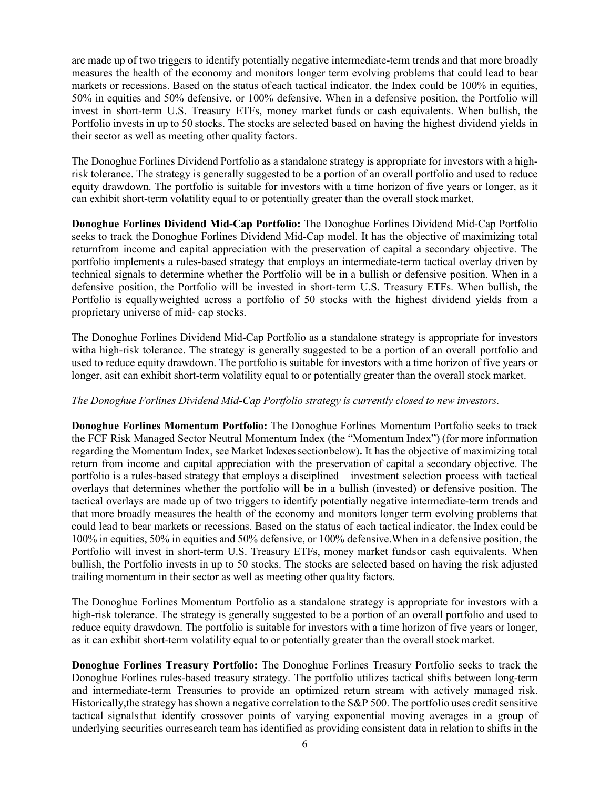are made up of two triggers to identify potentially negative intermediate-term trends and that more broadly measures the health of the economy and monitors longer term evolving problems that could lead to bear markets or recessions. Based on the status of each tactical indicator, the Index could be 100% in equities, 50% in equities and 50% defensive, or 100% defensive. When in a defensive position, the Portfolio will invest in short-term U.S. Treasury ETFs, money market funds or cash equivalents. When bullish, the Portfolio invests in up to 50 stocks. The stocks are selected based on having the highest dividend yields in their sector as well as meeting other quality factors.

The Donoghue Forlines Dividend Portfolio as a standalone strategy is appropriate for investors with a highrisk tolerance. The strategy is generally suggested to be a portion of an overall portfolio and used to reduce equity drawdown. The portfolio is suitable for investors with a time horizon of five years or longer, as it can exhibit short-term volatility equal to or potentially greater than the overall stock market.

**Donoghue Forlines Dividend Mid-Cap Portfolio:** The Donoghue Forlines Dividend Mid‐Cap Portfolio seeks to track the Donoghue Forlines Dividend Mid-Cap model. It has the objective of maximizing total returnfrom income and capital appreciation with the preservation of capital a secondary objective. The portfolio implements a rules-based strategy that employs an intermediate-term tactical overlay driven by technical signals to determine whether the Portfolio will be in a bullish or defensive position. When in a defensive position, the Portfolio will be invested in short-term U.S. Treasury ETFs. When bullish, the Portfolio is equallyweighted across a portfolio of 50 stocks with the highest dividend yields from a proprietary universe of mid- cap stocks.

The Donoghue Forlines Dividend Mid-Cap Portfolio as a standalone strategy is appropriate for investors witha high-risk tolerance. The strategy is generally suggested to be a portion of an overall portfolio and used to reduce equity drawdown. The portfolio is suitable for investors with a time horizon of five years or longer, asit can exhibit short-term volatility equal to or potentially greater than the overall stock market.

# *The Donoghue Forlines Dividend Mid-Cap Portfolio strategy is currently closed to new investors.*

**Donoghue Forlines Momentum Portfolio:** The Donoghue Forlines Momentum Portfolio seeks to track the FCF Risk Managed Sector Neutral Momentum Index (the "Momentum Index") (for more information regarding the Momentum Index, see Market Indexessectionbelow)**.** It has the objective of maximizing total return from income and capital appreciation with the preservation of capital a secondary objective. The portfolio is a rules-based strategy that employs a disciplined investment selection process with tactical overlays that determines whether the portfolio will be in a bullish (invested) or defensive position. The tactical overlays are made up of two triggers to identify potentially negative intermediate‐term trends and that more broadly measures the health of the economy and monitors longer term evolving problems that could lead to bear markets or recessions. Based on the status of each tactical indicator, the Index could be 100% in equities, 50% in equities and 50% defensive, or 100% defensive.When in a defensive position, the Portfolio will invest in short-term U.S. Treasury ETFs, money market fundsor cash equivalents. When bullish, the Portfolio invests in up to 50 stocks. The stocks are selected based on having the risk adjusted trailing momentum in their sector as well as meeting other quality factors.

The Donoghue Forlines Momentum Portfolio as a standalone strategy is appropriate for investors with a high-risk tolerance. The strategy is generally suggested to be a portion of an overall portfolio and used to reduce equity drawdown. The portfolio is suitable for investors with a time horizon of five years or longer, as it can exhibit short-term volatility equal to or potentially greater than the overall stock market.

**Donoghue Forlines Treasury Portfolio:** The Donoghue Forlines Treasury Portfolio seeks to track the Donoghue Forlines rules-based treasury strategy. The portfolio utilizes tactical shifts between long‐term and intermediate-term Treasuries to provide an optimized return stream with actively managed risk. Historically,the strategy hasshown a negative correlation to the S&P 500. The portfolio uses credit sensitive tactical signalsthat identify crossover points of varying exponential moving averages in a group of underlying securities ourresearch team has identified as providing consistent data in relation to shifts in the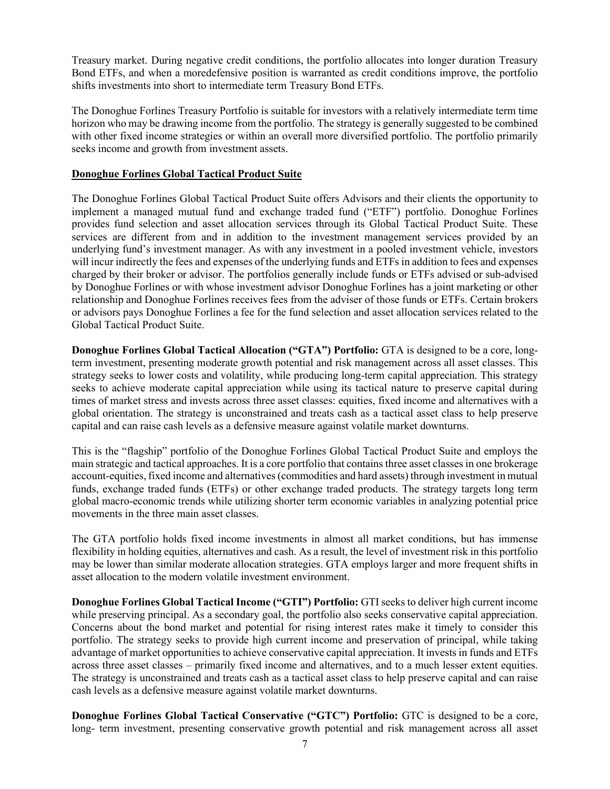Treasury market. During negative credit conditions, the portfolio allocates into longer duration Treasury Bond ETFs, and when a moredefensive position is warranted as credit conditions improve, the portfolio shifts investments into short to intermediate term Treasury Bond ETFs.

The Donoghue Forlines Treasury Portfolio is suitable for investors with a relatively intermediate term time horizon who may be drawing income from the portfolio. The strategy is generally suggested to be combined with other fixed income strategies or within an overall more diversified portfolio. The portfolio primarily seeks income and growth from investment assets.

# **Donoghue Forlines Global Tactical Product Suite**

The Donoghue Forlines Global Tactical Product Suite offers Advisors and their clients the opportunity to implement a managed mutual fund and exchange traded fund ("ETF") portfolio. Donoghue Forlines provides fund selection and asset allocation services through its Global Tactical Product Suite. These services are different from and in addition to the investment management services provided by an underlying fund's investment manager. As with any investment in a pooled investment vehicle, investors will incur indirectly the fees and expenses of the underlying funds and ETFs in addition to fees and expenses charged by their broker or advisor. The portfolios generally include funds or ETFs advised or sub-advised by Donoghue Forlines or with whose investment advisor Donoghue Forlines has a joint marketing or other relationship and Donoghue Forlines receives fees from the adviser of those funds or ETFs. Certain brokers or advisors pays Donoghue Forlines a fee for the fund selection and asset allocation services related to the Global Tactical Product Suite.

**Donoghue Forlines Global Tactical Allocation ("GTA") Portfolio:** GTA is designed to be a core, longterm investment, presenting moderate growth potential and risk management across all asset classes. This strategy seeks to lower costs and volatility, while producing long-term capital appreciation. This strategy seeks to achieve moderate capital appreciation while using its tactical nature to preserve capital during times of market stress and invests across three asset classes: equities, fixed income and alternatives with a global orientation. The strategy is unconstrained and treats cash as a tactical asset class to help preserve capital and can raise cash levels as a defensive measure against volatile market downturns.

This is the "flagship" portfolio of the Donoghue Forlines Global Tactical Product Suite and employs the main strategic and tactical approaches. It is a core portfolio that contains three asset classes in one brokerage account-equities, fixed income and alternatives(commodities and hard assets) through investment in mutual funds, exchange traded funds (ETFs) or other exchange traded products. The strategy targets long term global macro-economic trends while utilizing shorter term economic variables in analyzing potential price movements in the three main asset classes.

The GTA portfolio holds fixed income investments in almost all market conditions, but has immense flexibility in holding equities, alternatives and cash. As a result, the level of investment risk in this portfolio may be lower than similar moderate allocation strategies. GTA employs larger and more frequent shifts in asset allocation to the modern volatile investment environment.

**Donoghue Forlines Global Tactical Income ("GTI") Portfolio:** GTI seeks to deliver high current income while preserving principal. As a secondary goal, the portfolio also seeks conservative capital appreciation. Concerns about the bond market and potential for rising interest rates make it timely to consider this portfolio. The strategy seeks to provide high current income and preservation of principal, while taking advantage of market opportunities to achieve conservative capital appreciation. It invests in funds and ETFs across three asset classes – primarily fixed income and alternatives, and to a much lesser extent equities. The strategy is unconstrained and treats cash as a tactical asset class to help preserve capital and can raise cash levels as a defensive measure against volatile market downturns.

**Donoghue Forlines Global Tactical Conservative ("GTC") Portfolio:** GTC is designed to be a core, long- term investment, presenting conservative growth potential and risk management across all asset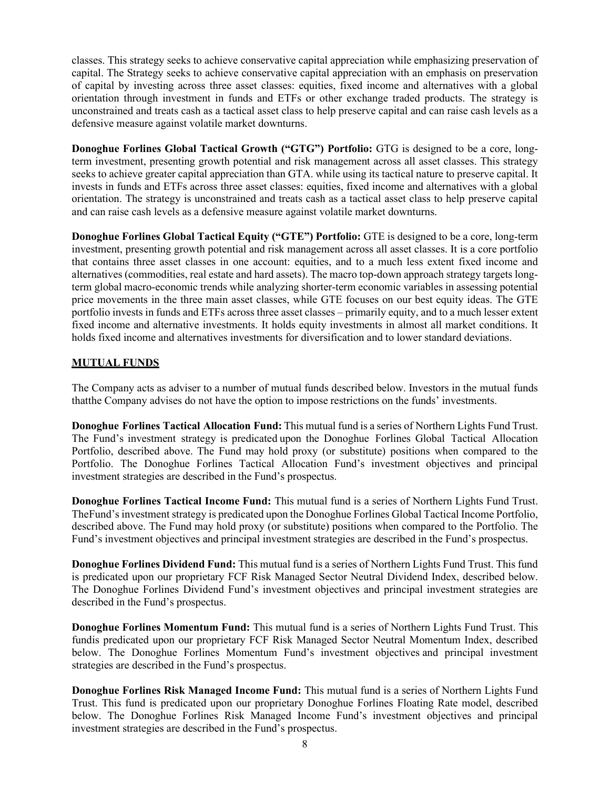classes. This strategy seeks to achieve conservative capital appreciation while emphasizing preservation of capital. The Strategy seeks to achieve conservative capital appreciation with an emphasis on preservation of capital by investing across three asset classes: equities, fixed income and alternatives with a global orientation through investment in funds and ETFs or other exchange traded products. The strategy is unconstrained and treats cash as a tactical asset class to help preserve capital and can raise cash levels as a defensive measure against volatile market downturns.

**Donoghue Forlines Global Tactical Growth ("GTG") Portfolio:** GTG is designed to be a core, longterm investment, presenting growth potential and risk management across all asset classes. This strategy seeks to achieve greater capital appreciation than GTA. while using its tactical nature to preserve capital. It invests in funds and ETFs across three asset classes: equities, fixed income and alternatives with a global orientation. The strategy is unconstrained and treats cash as a tactical asset class to help preserve capital and can raise cash levels as a defensive measure against volatile market downturns.

**Donoghue Forlines Global Tactical Equity ("GTE") Portfolio:** GTE is designed to be a core, long-term investment, presenting growth potential and risk management across all asset classes. It is a core portfolio that contains three asset classes in one account: equities, and to a much less extent fixed income and alternatives (commodities, real estate and hard assets). The macro top-down approach strategy targets longterm global macro-economic trends while analyzing shorter-term economic variables in assessing potential price movements in the three main asset classes, while GTE focuses on our best equity ideas. The GTE portfolio invests in funds and ETFs across three asset classes – primarily equity, and to a much lesser extent fixed income and alternative investments. It holds equity investments in almost all market conditions. It holds fixed income and alternatives investments for diversification and to lower standard deviations.

# **MUTUAL FUNDS**

The Company acts as adviser to a number of mutual funds described below. Investors in the mutual funds that the Company advises do not have the option to impose restrictions on the funds' investments.

**Donoghue Forlines Tactical Allocation Fund:** This mutual fund is a series of Northern Lights Fund Trust. The Fund's investment strategy is predicated upon the Donoghue Forlines Global Tactical Allocation Portfolio, described above. The Fund may hold proxy (or substitute) positions when compared to the Portfolio. The Donoghue Forlines Tactical Allocation Fund's investment objectives and principal investment strategies are described in the Fund's prospectus.

**Donoghue Forlines Tactical Income Fund:** This mutual fund is a series of Northern Lights Fund Trust. TheFund's investment strategy is predicated upon the Donoghue Forlines Global Tactical Income Portfolio, described above. The Fund may hold proxy (or substitute) positions when compared to the Portfolio. The Fund's investment objectives and principal investment strategies are described in the Fund's prospectus.

**Donoghue Forlines Dividend Fund:** This mutual fund is a series of Northern Lights Fund Trust. This fund is predicated upon our proprietary FCF Risk Managed Sector Neutral Dividend Index, described below. The Donoghue Forlines Dividend Fund's investment objectives and principal investment strategies are described in the Fund's prospectus.

**Donoghue Forlines Momentum Fund:** This mutual fund is a series of Northern Lights Fund Trust. This fund is predicated upon our proprietary FCF Risk Managed Sector Neutral Momentum Index, described below. The Donoghue Forlines Momentum Fund's investment objectives and principal investment strategies are described in the Fund's prospectus.

**Donoghue Forlines Risk Managed Income Fund:** This mutual fund is a series of Northern Lights Fund Trust. This fund is predicated upon our proprietary Donoghue Forlines Floating Rate model, described below. The Donoghue Forlines Risk Managed Income Fund's investment objectives and principal investment strategies are described in the Fund's prospectus.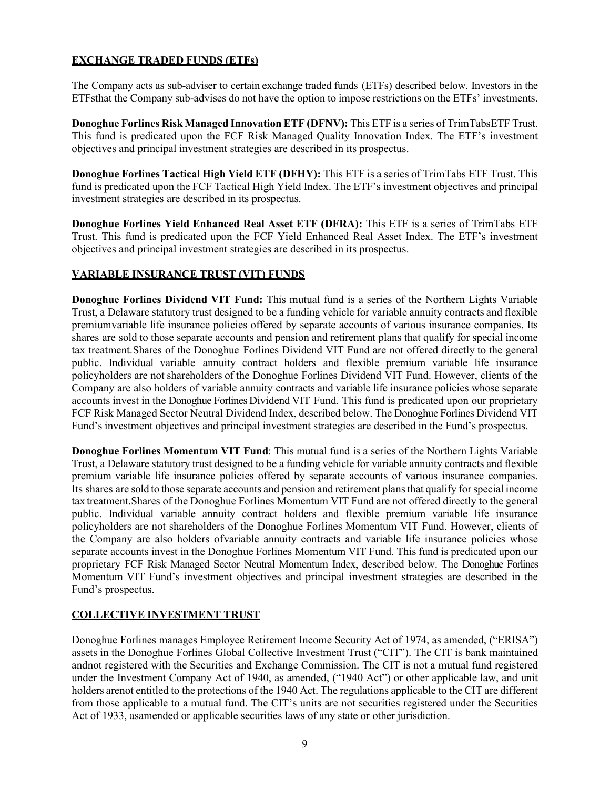# **EXCHANGE TRADED FUNDS (ETFs)**

The Company acts as sub-adviser to certain exchange traded funds (ETFs) described below. Investors in the ETFsthat the Company sub-advises do not have the option to impose restrictions on the ETFs' investments.

**Donoghue Forlines Risk Managed Innovation ETF (DFNV):** This ETF is a series of TrimTabsETF Trust. This fund is predicated upon the FCF Risk Managed Quality Innovation Index. The ETF's investment objectives and principal investment strategies are described in its prospectus.

**Donoghue Forlines Tactical High Yield ETF (DFHY):** This ETF is a series of TrimTabs ETF Trust. This fund is predicated upon the FCF Tactical High Yield Index. The ETF's investment objectives and principal investment strategies are described in its prospectus.

**Donoghue Forlines Yield Enhanced Real Asset ETF (DFRA):** This ETF is a series of TrimTabs ETF Trust. This fund is predicated upon the FCF Yield Enhanced Real Asset Index. The ETF's investment objectives and principal investment strategies are described in its prospectus.

# **VARIABLE INSURANCE TRUST (VIT) FUNDS**

**Donoghue Forlines Dividend VIT Fund:** This mutual fund is a series of the Northern Lights Variable Trust, a Delaware statutory trust designed to be a funding vehicle for variable annuity contracts and flexible premiumvariable life insurance policies offered by separate accounts of various insurance companies. Its shares are sold to those separate accounts and pension and retirement plans that qualify for special income tax treatment.Shares of the Donoghue Forlines Dividend VIT Fund are not offered directly to the general public. Individual variable annuity contract holders and flexible premium variable life insurance policyholders are not shareholders of the Donoghue Forlines Dividend VIT Fund. However, clients of the Company are also holders of variable annuity contracts and variable life insurance policies whose separate accounts invest in the Donoghue Forlines Dividend VIT Fund. This fund is predicated upon our proprietary FCF Risk Managed Sector Neutral Dividend Index, described below. The Donoghue Forlines Dividend VIT Fund's investment objectives and principal investment strategies are described in the Fund's prospectus.

**Donoghue Forlines Momentum VIT Fund**: This mutual fund is a series of the Northern Lights Variable Trust, a Delaware statutory trust designed to be a funding vehicle for variable annuity contracts and flexible premium variable life insurance policies offered by separate accounts of various insurance companies. Its shares are sold to those separate accounts and pension and retirement plansthat qualify forspecial income tax treatment.Shares of the Donoghue Forlines Momentum VIT Fund are not offered directly to the general public. Individual variable annuity contract holders and flexible premium variable life insurance policyholders are not shareholders of the Donoghue Forlines Momentum VIT Fund. However, clients of the Company are also holders ofvariable annuity contracts and variable life insurance policies whose separate accounts invest in the Donoghue Forlines Momentum VIT Fund. This fund is predicated upon our proprietary FCF Risk Managed Sector Neutral Momentum Index, described below. The Donoghue Forlines Momentum VIT Fund's investment objectives and principal investment strategies are described in the Fund's prospectus.

# **COLLECTIVE INVESTMENT TRUST**

Donoghue Forlines manages Employee Retirement Income Security Act of 1974, as amended, ("ERISA") assets in the Donoghue Forlines Global Collective Investment Trust ("CIT"). The CIT is bank maintained and not registered with the Securities and Exchange Commission. The CIT is not a mutual fund registered under the Investment Company Act of 1940, as amended, ("1940 Act") or other applicable law, and unit holders arenot entitled to the protections of the 1940 Act. The regulations applicable to the CIT are different from those applicable to a mutual fund. The CIT's units are not securities registered under the Securities Act of 1933, asamended or applicable securities laws of any state or other jurisdiction.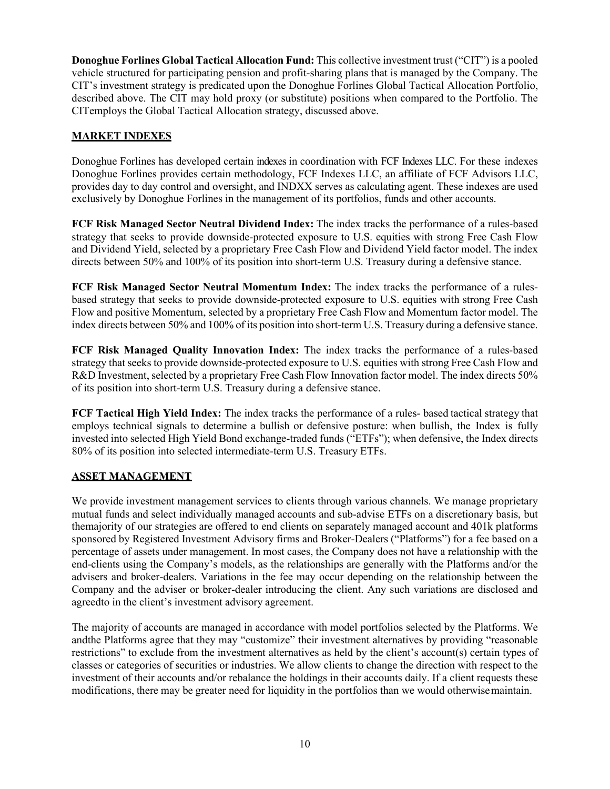**Donoghue Forlines Global Tactical Allocation Fund:** This collective investment trust ("CIT") is a pooled vehicle structured for participating pension and profit-sharing plans that is managed by the Company. The CIT's investment strategy is predicated upon the Donoghue Forlines Global Tactical Allocation Portfolio, described above. The CIT may hold proxy (or substitute) positions when compared to the Portfolio. The CIT employs the Global Tactical Allocation strategy, discussed above.

# **MARKET INDEXES**

Donoghue Forlines has developed certain indexes in coordination with FCF Indexes LLC. For these indexes Donoghue Forlines provides certain methodology, FCF Indexes LLC, an affiliate of FCF Advisors LLC, provides day to day control and oversight, and INDXX serves as calculating agent. These indexes are used exclusively by Donoghue Forlines in the management of its portfolios, funds and other accounts.

**FCF Risk Managed Sector Neutral Dividend Index:** The index tracks the performance of a rules-based strategy that seeks to provide downside-protected exposure to U.S. equities with strong Free Cash Flow and Dividend Yield, selected by a proprietary Free Cash Flow and Dividend Yield factor model. The index directs between 50% and 100% of its position into short-term U.S. Treasury during a defensive stance.

**FCF Risk Managed Sector Neutral Momentum Index:** The index tracks the performance of a rulesbased strategy that seeks to provide downside-protected exposure to U.S. equities with strong Free Cash Flow and positive Momentum, selected by a proprietary Free Cash Flow and Momentum factor model. The index directs between 50% and 100% of its position into short-term U.S. Treasury during a defensive stance.

**FCF Risk Managed Quality Innovation Index:** The index tracks the performance of a rules-based strategy that seeks to provide downside-protected exposure to U.S. equities with strong Free Cash Flow and R&D Investment, selected by a proprietary Free Cash Flow Innovation factor model. The index directs 50% of its position into short-term U.S. Treasury during a defensive stance.

**FCF Tactical High Yield Index:** The index tracks the performance of a rules- based tactical strategy that employs technical signals to determine a bullish or defensive posture: when bullish, the Index is fully invested into selected High Yield Bond exchange-traded funds ("ETFs"); when defensive, the Index directs 80% of its position into selected intermediate-term U.S. Treasury ETFs.

# **ASSET MANAGEMENT**

We provide investment management services to clients through various channels. We manage proprietary mutual funds and select individually managed accounts and sub-advise ETFs on a discretionary basis, but the majority of our strategies are offered to end clients on separately managed account and 401k platforms sponsored by Registered Investment Advisory firms and Broker-Dealers ("Platforms") for a fee based on a percentage of assets under management. In most cases, the Company does not have a relationship with the end-clients using the Company's models, as the relationships are generally with the Platforms and/or the advisers and broker-dealers. Variations in the fee may occur depending on the relationship between the Company and the adviser or broker-dealer introducing the client. Any such variations are disclosed and agreedto in the client's investment advisory agreement.

The majority of accounts are managed in accordance with model portfolios selected by the Platforms. We and the Platforms agree that they may "customize" their investment alternatives by providing "reasonable restrictions" to exclude from the investment alternatives as held by the client's account(s) certain types of classes or categories of securities or industries. We allow clients to change the direction with respect to the investment of their accounts and/or rebalance the holdings in their accounts daily. If a client requests these modifications, there may be greater need for liquidity in the portfolios than we would otherwise maintain.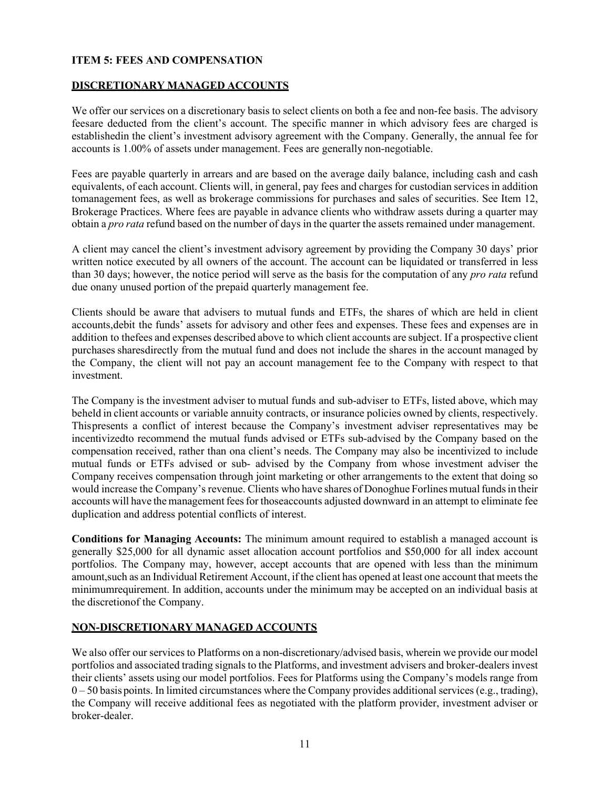# **ITEM 5: FEES AND COMPENSATION**

# **DISCRETIONARY MANAGED ACCOUNTS**

We offer our services on a discretionary basis to select clients on both a fee and non-fee basis. The advisory feesare deducted from the client's account. The specific manner in which advisory fees are charged is establishedin the client's investment advisory agreement with the Company. Generally, the annual fee for accounts is 1.00% of assets under management. Fees are generally non-negotiable.

Fees are payable quarterly in arrears and are based on the average daily balance, including cash and cash equivalents, of each account. Clients will, in general, pay fees and charges for custodian services in addition tomanagement fees, as well as brokerage commissions for purchases and sales of securities. See Item 12, Brokerage Practices. Where fees are payable in advance clients who withdraw assets during a quarter may obtain a *pro rata* refund based on the number of days in the quarter the assets remained under management.

A client may cancel the client's investment advisory agreement by providing the Company 30 days' prior written notice executed by all owners of the account. The account can be liquidated or transferred in less than 30 days; however, the notice period will serve as the basis for the computation of any *pro rata* refund due on any unused portion of the prepaid quarterly management fee.

Clients should be aware that advisers to mutual funds and ETFs, the shares of which are held in client accounts,debit the funds' assets for advisory and other fees and expenses. These fees and expenses are in addition to the fees and expenses described above to which client accounts are subject. If a prospective client purchases sharesdirectly from the mutual fund and does not include the shares in the account managed by the Company, the client will not pay an account management fee to the Company with respect to that investment.

The Company is the investment adviser to mutual funds and sub-adviser to ETFs, listed above, which may be held in client accounts or variable annuity contracts, or insurance policies owned by clients, respectively. Thispresents a conflict of interest because the Company's investment adviser representatives may be incentivizedto recommend the mutual funds advised or ETFs sub-advised by the Company based on the compensation received, rather than ona client's needs. The Company may also be incentivized to include mutual funds or ETFs advised or sub- advised by the Company from whose investment adviser the Company receives compensation through joint marketing or other arrangements to the extent that doing so would increase the Company's revenue. Clients who have shares of Donoghue Forlines mutual funds in their accounts will have the management fees for thoseaccounts adjusted downward in an attempt to eliminate fee duplication and address potential conflicts of interest.

**Conditions for Managing Accounts:** The minimum amount required to establish a managed account is generally \$25,000 for all dynamic asset allocation account portfolios and \$50,000 for all index account portfolios. The Company may, however, accept accounts that are opened with less than the minimum amount, such as an Individual Retirement Account, if the client has opened at least one account that meets the minimumrequirement. In addition, accounts under the minimum may be accepted on an individual basis at the discretion of the Company.

# **NON-DISCRETIONARY MANAGED ACCOUNTS**

We also offer our services to Platforms on a non-discretionary/advised basis, wherein we provide our model portfolios and associated trading signals to the Platforms, and investment advisers and broker-dealers invest their clients' assets using our model portfolios. Fees for Platforms using the Company's models range from 0 – 50 basis points. In limited circumstances where the Company provides additional services (e.g., trading), the Company will receive additional fees as negotiated with the platform provider, investment adviser or broker-dealer.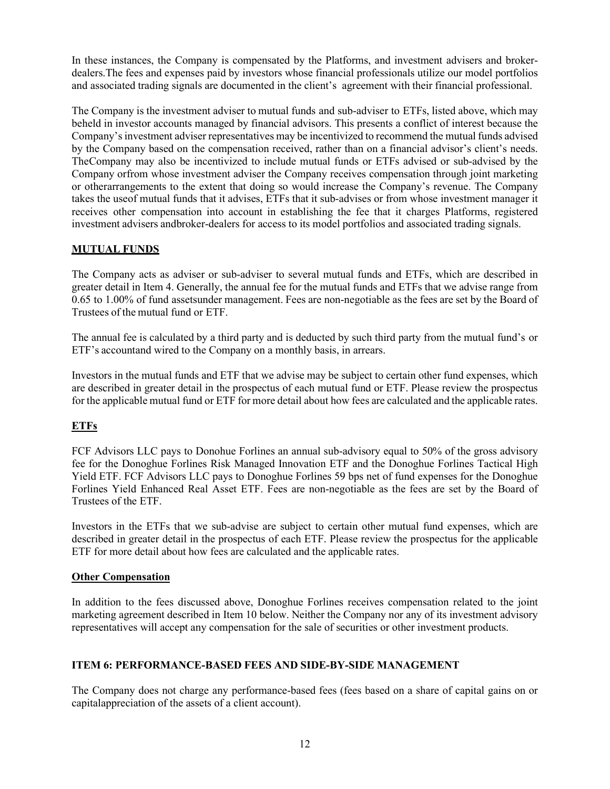In these instances, the Company is compensated by the Platforms, and investment advisers and brokerdealers.The fees and expenses paid by investors whose financial professionals utilize our model portfolios and associated trading signals are documented in the client's agreement with their financial professional.

The Company is the investment adviser to mutual funds and sub-adviser to ETFs, listed above, which may be held in investor accounts managed by financial advisors. This presents a conflict of interest because the Company's investment adviser representatives may be incentivized to recommend the mutual funds advised by the Company based on the compensation received, rather than on a financial advisor's client's needs. TheCompany may also be incentivized to include mutual funds or ETFs advised or sub-advised by the Company or from whose investment adviser the Company receives compensation through joint marketing or otherarrangements to the extent that doing so would increase the Company's revenue. The Company takes the useof mutual funds that it advises, ETFs that it sub-advises or from whose investment manager it receives other compensation into account in establishing the fee that it charges Platforms, registered investment advisers and broker-dealers for access to its model portfolios and associated trading signals.

# **MUTUAL FUNDS**

The Company acts as adviser or sub-adviser to several mutual funds and ETFs, which are described in greater detail in Item 4. Generally, the annual fee for the mutual funds and ETFs that we advise range from 0.65 to 1.00% of fund assetsunder management. Fees are non-negotiable as the fees are set by the Board of Trustees of the mutual fund or ETF.

The annual fee is calculated by a third party and is deducted by such third party from the mutual fund's or ETF's account and wired to the Company on a monthly basis, in arrears.

Investors in the mutual funds and ETF that we advise may be subject to certain other fund expenses, which are described in greater detail in the prospectus of each mutual fund or ETF. Please review the prospectus for the applicable mutual fund or ETF for more detail about how fees are calculated and the applicable rates.

# **ETFs**

FCF Advisors LLC pays to Donohue Forlines an annual sub-advisory equal to 50% of the gross advisory fee for the Donoghue Forlines Risk Managed Innovation ETF and the Donoghue Forlines Tactical High Yield ETF. FCF Advisors LLC pays to Donoghue Forlines 59 bps net of fund expenses for the Donoghue Forlines Yield Enhanced Real Asset ETF. Fees are non-negotiable as the fees are set by the Board of Trustees of the ETF.

Investors in the ETFs that we sub-advise are subject to certain other mutual fund expenses, which are described in greater detail in the prospectus of each ETF. Please review the prospectus for the applicable ETF for more detail about how fees are calculated and the applicable rates.

#### **Other Compensation**

In addition to the fees discussed above, Donoghue Forlines receives compensation related to the joint marketing agreement described in Item 10 below. Neither the Company nor any of its investment advisory representatives will accept any compensation for the sale of securities or other investment products.

# **ITEM 6: PERFORMANCE-BASED FEES AND SIDE-BY-SIDE MANAGEMENT**

The Company does not charge any performance-based fees (fees based on a share of capital gains on or capitalappreciation of the assets of a client account).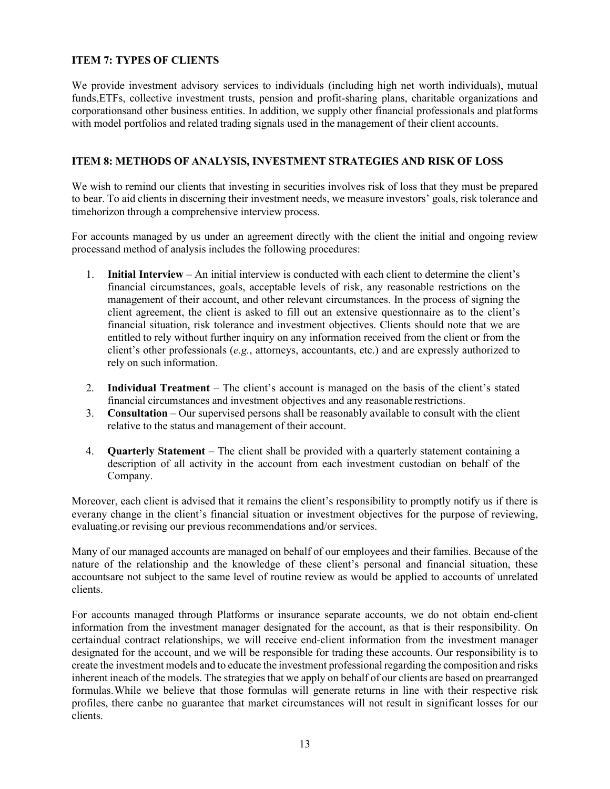# **ITEM 7: TYPES OF CLIENTS**

We provide investment advisory services to individuals (including high net worth individuals), mutual funds,ETFs, collective investment trusts, pension and profit-sharing plans, charitable organizations and corporationsand other business entities. In addition, we supply other financial professionals and platforms with model portfolios and related trading signals used in the management of their client accounts.

# **ITEM 8: METHODS OF ANALYSIS, INVESTMENT STRATEGIES AND RISK OF LOSS**

We wish to remind our clients that investing in securities involves risk of loss that they must be prepared to bear. To aid clients in discerning their investment needs, we measure investors' goals, risk tolerance and timehorizon through a comprehensive interview process.

For accounts managed by us under an agreement directly with the client the initial and ongoing review processand method of analysis includes the following procedures:

- 1. **Initial Interview** An initial interview is conducted with each client to determine the client's financial circumstances, goals, acceptable levels of risk, any reasonable restrictions on the management of their account, and other relevant circumstances. In the process of signing the client agreement, the client is asked to fill out an extensive questionnaire as to the client's financial situation, risk tolerance and investment objectives. Clients should note that we are entitled to rely without further inquiry on any information received from the client or from the client's other professionals (*e.g.*, attorneys, accountants, etc.) and are expressly authorized to rely on such information.
- 2. **Individual Treatment**  The client's account is managed on the basis of the client's stated financial circumstances and investment objectives and any reasonable restrictions.
- 3. **Consultation**  Our supervised persons shall be reasonably available to consult with the client relative to the status and management of their account.
- 4. **Quarterly Statement** The client shall be provided with a quarterly statement containing a description of all activity in the account from each investment custodian on behalf of the Company.

Moreover, each client is advised that it remains the client's responsibility to promptly notify us if there is everany change in the client's financial situation or investment objectives for the purpose of reviewing, evaluating,or revising our previous recommendations and/or services.

Many of our managed accounts are managed on behalf of our employees and their families. Because of the nature of the relationship and the knowledge of these client's personal and financial situation, these accountsare not subject to the same level of routine review as would be applied to accounts of unrelated clients.

For accounts managed through Platforms or insurance separate accounts, we do not obtain end-client information from the investment manager designated for the account, as that is their responsibility. On certaindual contract relationships, we will receive end-client information from the investment manager designated for the account, and we will be responsible for trading these accounts. Our responsibility is to create the investment models and to educate the investment professional regarding the composition and risks inherent ineach of the models. The strategies that we apply on behalf of our clients are based on prearranged formulas.While we believe that those formulas will generate returns in line with their respective risk profiles, there canbe no guarantee that market circumstances will not result in significant losses for our clients.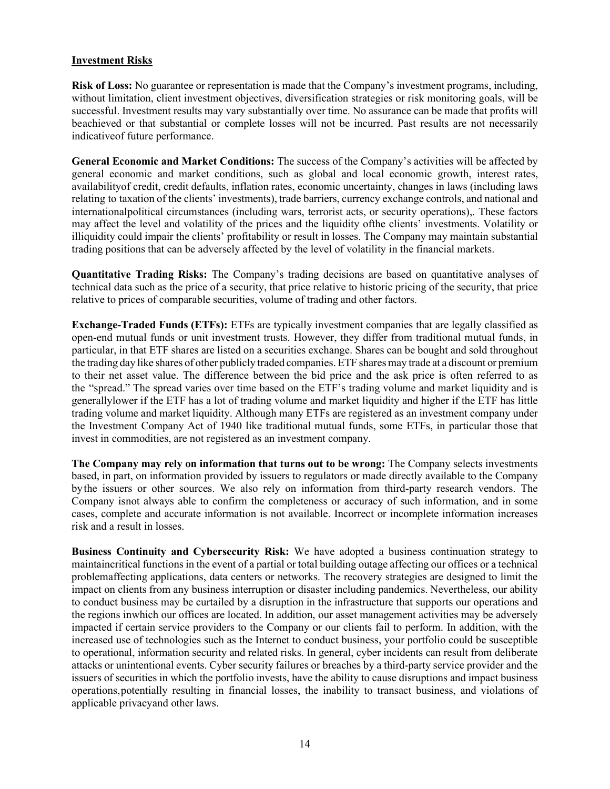# **Investment Risks**

**Risk of Loss:** No guarantee or representation is made that the Company's investment programs, including, without limitation, client investment objectives, diversification strategies or risk monitoring goals, will be successful. Investment results may vary substantially over time. No assurance can be made that profits will be achieved or that substantial or complete losses will not be incurred. Past results are not necessarily indicativeof future performance.

**General Economic and Market Conditions:** The success of the Company's activities will be affected by general economic and market conditions, such as global and local economic growth, interest rates, availabilityof credit, credit defaults, inflation rates, economic uncertainty, changes in laws (including laws relating to taxation of the clients' investments), trade barriers, currency exchange controls, and national and international political circumstances (including wars, terrorist acts, or security operations). These factors may affect the level and volatility of the prices and the liquidity ofthe clients' investments. Volatility or illiquidity could impair the clients' profitability or result in losses. The Company may maintain substantial trading positions that can be adversely affected by the level of volatility in the financial markets.

**Quantitative Trading Risks:** The Company's trading decisions are based on quantitative analyses of technical data such as the price of a security, that price relative to historic pricing of the security, that price relative to prices of comparable securities, volume of trading and other factors.

**Exchange-Traded Funds (ETFs):** ETFs are typically investment companies that are legally classified as open-end mutual funds or unit investment trusts. However, they differ from traditional mutual funds, in particular, in that ETF shares are listed on a securities exchange. Shares can be bought and sold throughout the trading day like shares of other publicly traded companies.ETF sharesmay trade at a discount or premium to their net asset value. The difference between the bid price and the ask price is often referred to as the "spread." The spread varies over time based on the ETF's trading volume and market liquidity and is generallylower if the ETF has a lot of trading volume and market liquidity and higher if the ETF has little trading volume and market liquidity. Although many ETFs are registered as an investment company under the Investment Company Act of 1940 like traditional mutual funds, some ETFs, in particular those that invest in commodities, are not registered as an investment company.

**The Company may rely on information that turns out to be wrong:** The Company selects investments based, in part, on information provided by issuers to regulators or made directly available to the Company by the issuers or other sources. We also rely on information from third-party research vendors. The Company isnot always able to confirm the completeness or accuracy of such information, and in some cases, complete and accurate information is not available. Incorrect or incomplete information increases risk and a result in losses.

**Business Continuity and Cybersecurity Risk:** We have adopted a business continuation strategy to maintaincritical functions in the event of a partial or total building outage affecting our offices or a technical problem affecting applications, data centers or networks. The recovery strategies are designed to limit the impact on clients from any business interruption or disaster including pandemics. Nevertheless, our ability to conduct business may be curtailed by a disruption in the infrastructure that supports our operations and the regions in which our offices are located. In addition, our asset management activities may be adversely impacted if certain service providers to the Company or our clients fail to perform. In addition, with the increased use of technologies such as the Internet to conduct business, your portfolio could be susceptible to operational, information security and related risks. In general, cyber incidents can result from deliberate attacks or unintentional events. Cyber security failures or breaches by a third-party service provider and the issuers of securities in which the portfolio invests, have the ability to cause disruptions and impact business operations, potentially resulting in financial losses, the inability to transact business, and violations of applicable privacy and other laws.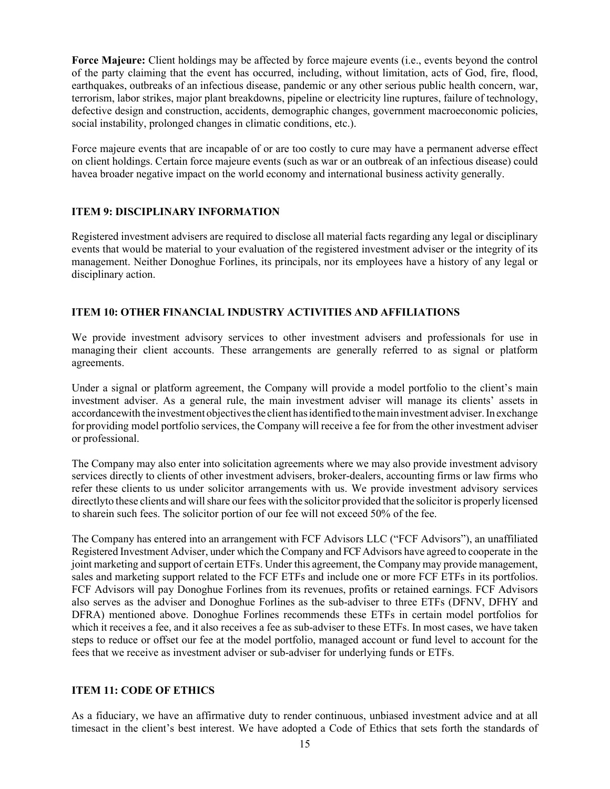**Force Majeure:** Client holdings may be affected by force majeure events (i.e., events beyond the control of the party claiming that the event has occurred, including, without limitation, acts of God, fire, flood, earthquakes, outbreaks of an infectious disease, pandemic or any other serious public health concern, war, terrorism, labor strikes, major plant breakdowns, pipeline or electricity line ruptures, failure of technology, defective design and construction, accidents, demographic changes, government macroeconomic policies, social instability, prolonged changes in climatic conditions, etc.).

Force majeure events that are incapable of or are too costly to cure may have a permanent adverse effect on client holdings. Certain force majeure events (such as war or an outbreak of an infectious disease) could havea broader negative impact on the world economy and international business activity generally.

# **ITEM 9: DISCIPLINARY INFORMATION**

Registered investment advisers are required to disclose all material facts regarding any legal or disciplinary events that would be material to your evaluation of the registered investment adviser or the integrity of its management. Neither Donoghue Forlines, its principals, nor its employees have a history of any legal or disciplinary action.

# **ITEM 10: OTHER FINANCIAL INDUSTRY ACTIVITIES AND AFFILIATIONS**

We provide investment advisory services to other investment advisers and professionals for use in managing their client accounts. These arrangements are generally referred to as signal or platform agreements.

Under a signal or platform agreement, the Company will provide a model portfolio to the client's main investment adviser. As a general rule, the main investment adviser will manage its clients' assets in accordancewith the investment objectivesthe client hasidentifiedtothemaininvestment adviser.In exchange for providing model portfolio services, the Company will receive a fee for from the other investment adviser or professional.

The Company may also enter into solicitation agreements where we may also provide investment advisory services directly to clients of other investment advisers, broker-dealers, accounting firms or law firms who refer these clients to us under solicitor arrangements with us. We provide investment advisory services directlyto these clients and willshare our fees with the solicitor provided that the solicitor is properly licensed to sharein such fees. The solicitor portion of our fee will not exceed 50% of the fee.

The Company has entered into an arrangement with FCF Advisors LLC ("FCF Advisors"), an unaffiliated Registered Investment Adviser, under which the Company and FCF Advisors have agreed to cooperate in the joint marketing and support of certain ETFs. Under this agreement, the Company may provide management, sales and marketing support related to the FCF ETFs and include one or more FCF ETFs in its portfolios. FCF Advisors will pay Donoghue Forlines from its revenues, profits or retained earnings. FCF Advisors also serves as the adviser and Donoghue Forlines as the sub-adviser to three ETFs (DFNV, DFHY and DFRA) mentioned above. Donoghue Forlines recommends these ETFs in certain model portfolios for which it receives a fee, and it also receives a fee as sub-adviser to these ETFs. In most cases, we have taken steps to reduce or offset our fee at the model portfolio, managed account or fund level to account for the fees that we receive as investment adviser or sub-adviser for underlying funds or ETFs.

# **ITEM 11: CODE OF ETHICS**

As a fiduciary, we have an affirmative duty to render continuous, unbiased investment advice and at all timesact in the client's best interest. We have adopted a Code of Ethics that sets forth the standards of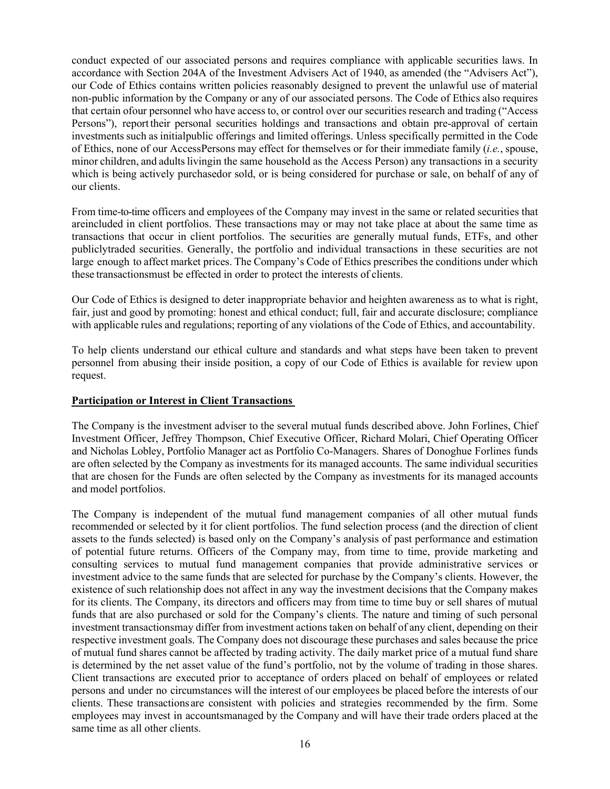conduct expected of our associated persons and requires compliance with applicable securities laws. In accordance with Section 204A of the Investment Advisers Act of 1940, as amended (the "Advisers Act"), our Code of Ethics contains written policies reasonably designed to prevent the unlawful use of material non-public information by the Company or any of our associated persons. The Code of Ethics also requires that certain ofour personnel who have access to, or control over our securities research and trading ("Access Persons"), report their personal securities holdings and transactions and obtain pre-approval of certain investments such as initial public offerings and limited offerings. Unless specifically permitted in the Code of Ethics, none of our Access Persons may effect for themselves or for their immediate family (*i.e.*, spouse, minor children, and adults livingin the same household as the Access Person) any transactions in a security which is being actively purchasedor sold, or is being considered for purchase or sale, on behalf of any of our clients.

From time-to-time officers and employees of the Company may invest in the same or related securities that areincluded in client portfolios. These transactions may or may not take place at about the same time as transactions that occur in client portfolios. The securities are generally mutual funds, ETFs, and other publicly traded securities. Generally, the portfolio and individual transactions in these securities are not large enough to affect market prices. The Company's Code of Ethics prescribes the conditions under which these transactionsmust be effected in order to protect the interests of clients.

Our Code of Ethics is designed to deter inappropriate behavior and heighten awareness as to what is right, fair, just and good by promoting: honest and ethical conduct; full, fair and accurate disclosure; compliance with applicable rules and regulations; reporting of any violations of the Code of Ethics, and accountability.

To help clients understand our ethical culture and standards and what steps have been taken to prevent personnel from abusing their inside position, a copy of our Code of Ethics is available for review upon request.

# **Participation or Interest in Client Transactions**

The Company is the investment adviser to the several mutual funds described above. John Forlines, Chief Investment Officer, Jeffrey Thompson, Chief Executive Officer, Richard Molari, Chief Operating Officer and Nicholas Lobley, Portfolio Manager act as Portfolio Co-Managers. Shares of Donoghue Forlines funds are often selected by the Company as investments for its managed accounts. The same individual securities that are chosen for the Funds are often selected by the Company as investments for its managed accounts and model portfolios.

The Company is independent of the mutual fund management companies of all other mutual funds recommended or selected by it for client portfolios. The fund selection process (and the direction of client assets to the funds selected) is based only on the Company's analysis of past performance and estimation of potential future returns. Officers of the Company may, from time to time, provide marketing and consulting services to mutual fund management companies that provide administrative services or investment advice to the same funds that are selected for purchase by the Company's clients. However, the existence of such relationship does not affect in any way the investment decisions that the Company makes for its clients. The Company, its directors and officers may from time to time buy or sell shares of mutual funds that are also purchased or sold for the Company's clients. The nature and timing of such personal investment transactionsmay differ from investment actions taken on behalf of any client, depending on their respective investment goals. The Company does not discourage these purchases and sales because the price of mutual fund shares cannot be affected by trading activity. The daily market price of a mutual fund share is determined by the net asset value of the fund's portfolio, not by the volume of trading in those shares. Client transactions are executed prior to acceptance of orders placed on behalf of employees or related persons and under no circumstances will the interest of our employees be placed before the interests of our clients. These transactions are consistent with policies and strategies recommended by the firm. Some employees may invest in accounts managed by the Company and will have their trade orders placed at the same time as all other clients.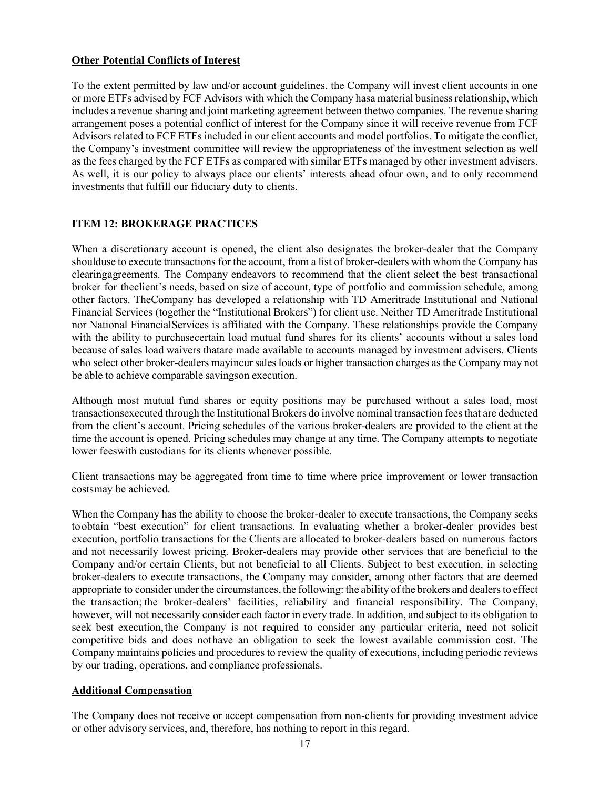# **Other Potential Conflicts of Interest**

To the extent permitted by law and/or account guidelines, the Company will invest client accounts in one or more ETFs advised by FCF Advisors with which the Company hasa material business relationship, which includes a revenue sharing and joint marketing agreement between the two companies. The revenue sharing arrangement poses a potential conflict of interest for the Company since it will receive revenue from FCF Advisors related to FCF ETFs included in our client accounts and model portfolios. To mitigate the conflict, the Company's investment committee will review the appropriateness of the investment selection as well as the fees charged by the FCF ETFs as compared with similar ETFs managed by other investment advisers. As well, it is our policy to always place our clients' interests ahead ofour own, and to only recommend investments that fulfill our fiduciary duty to clients.

# **ITEM 12: BROKERAGE PRACTICES**

When a discretionary account is opened, the client also designates the broker-dealer that the Company should use to execute transactions for the account, from a list of broker-dealers with whom the Company has clearingagreements. The Company endeavors to recommend that the client select the best transactional broker for the client's needs, based on size of account, type of portfolio and commission schedule, among other factors. TheCompany has developed a relationship with TD Ameritrade Institutional and National Financial Services (together the "Institutional Brokers") for client use. Neither TD Ameritrade Institutional nor National FinancialServices is affiliated with the Company. These relationships provide the Company with the ability to purchasecertain load mutual fund shares for its clients' accounts without a sales load because of sales load waivers thatare made available to accounts managed by investment advisers. Clients who select other broker-dealers mayincur sales loads or higher transaction charges as the Company may not be able to achieve comparable savings on execution.

Although most mutual fund shares or equity positions may be purchased without a sales load, most transactionsexecuted through the Institutional Brokers do involve nominal transaction fees that are deducted from the client's account. Pricing schedules of the various broker-dealers are provided to the client at the time the account is opened. Pricing schedules may change at any time. The Company attempts to negotiate lower feeswith custodians for its clients whenever possible.

Client transactions may be aggregated from time to time where price improvement or lower transaction costsmay be achieved.

When the Company has the ability to choose the broker-dealer to execute transactions, the Company seeks to obtain "best execution" for client transactions. In evaluating whether a broker-dealer provides best execution, portfolio transactions for the Clients are allocated to broker-dealers based on numerous factors and not necessarily lowest pricing. Broker-dealers may provide other services that are beneficial to the Company and/or certain Clients, but not beneficial to all Clients. Subject to best execution, in selecting broker-dealers to execute transactions, the Company may consider, among other factors that are deemed appropriate to consider under the circumstances, the following: the ability of the brokers and dealers to effect the transaction; the broker-dealers' facilities, reliability and financial responsibility. The Company, however, will not necessarily consider each factor in every trade. In addition, and subject to its obligation to seek best execution, the Company is not required to consider any particular criteria, need not solicit competitive bids and does nothave an obligation to seek the lowest available commission cost. The Company maintains policies and procedures to review the quality of executions, including periodic reviews by our trading, operations, and compliance professionals.

# **Additional Compensation**

The Company does not receive or accept compensation from non-clients for providing investment advice or other advisory services, and, therefore, has nothing to report in this regard.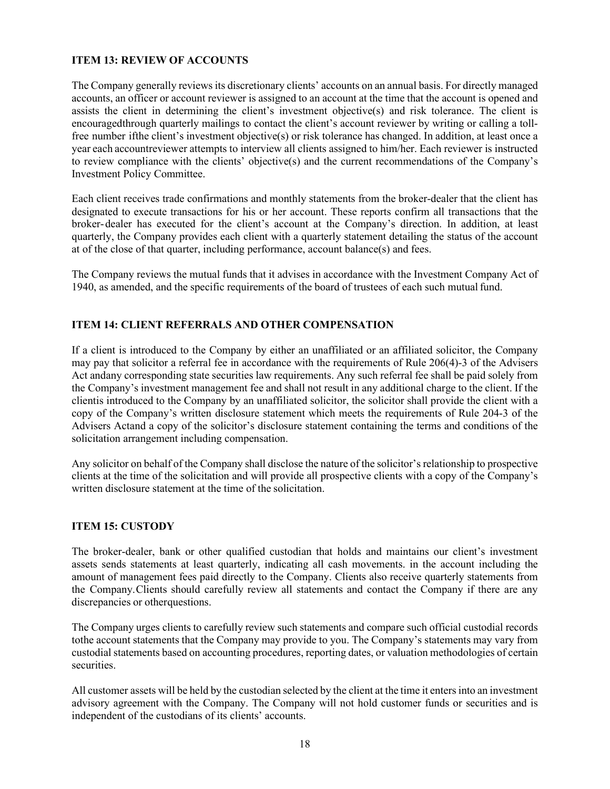# **ITEM 13: REVIEW OF ACCOUNTS**

The Company generally reviews its discretionary clients' accounts on an annual basis. For directly managed accounts, an officer or account reviewer is assigned to an account at the time that the account is opened and assists the client in determining the client's investment objective(s) and risk tolerance. The client is encouragedthrough quarterly mailings to contact the client's account reviewer by writing or calling a tollfree number ifthe client's investment objective(s) or risk tolerance has changed. In addition, at least once a year each accountreviewer attempts to interview all clients assigned to him/her. Each reviewer is instructed to review compliance with the clients' objective(s) and the current recommendations of the Company's Investment Policy Committee.

Each client receives trade confirmations and monthly statements from the broker-dealer that the client has designated to execute transactions for his or her account. These reports confirm all transactions that the broker-dealer has executed for the client's account at the Company's direction. In addition, at least quarterly, the Company provides each client with a quarterly statement detailing the status of the account at of the close of that quarter, including performance, account balance(s) and fees.

The Company reviews the mutual funds that it advises in accordance with the Investment Company Act of 1940, as amended, and the specific requirements of the board of trustees of each such mutualfund.

# **ITEM 14: CLIENT REFERRALS AND OTHER COMPENSATION**

If a client is introduced to the Company by either an unaffiliated or an affiliated solicitor, the Company may pay that solicitor a referral fee in accordance with the requirements of Rule 206(4)-3 of the Advisers Act andany corresponding state securities law requirements. Any such referral fee shall be paid solely from the Company's investment management fee and shall not result in any additional charge to the client. If the clientis introduced to the Company by an unaffiliated solicitor, the solicitor shall provide the client with a copy of the Company's written disclosure statement which meets the requirements of Rule 204-3 of the Advisers Actand a copy of the solicitor's disclosure statement containing the terms and conditions of the solicitation arrangement including compensation.

Any solicitor on behalf of the Company shall disclose the nature of the solicitor's relationship to prospective clients at the time of the solicitation and will provide all prospective clients with a copy of the Company's written disclosure statement at the time of the solicitation.

# **ITEM 15: CUSTODY**

The broker-dealer, bank or other qualified custodian that holds and maintains our client's investment assets sends statements at least quarterly, indicating all cash movements. in the account including the amount of management fees paid directly to the Company. Clients also receive quarterly statements from the Company.Clients should carefully review all statements and contact the Company if there are any discrepancies or otherquestions.

The Company urges clients to carefully review such statements and compare such official custodial records tothe account statements that the Company may provide to you. The Company's statements may vary from custodial statements based on accounting procedures, reporting dates, or valuation methodologies of certain securities.

All customer assets will be held by the custodian selected by the client at the time it entersinto an investment advisory agreement with the Company. The Company will not hold customer funds or securities and is independent of the custodians of its clients' accounts.